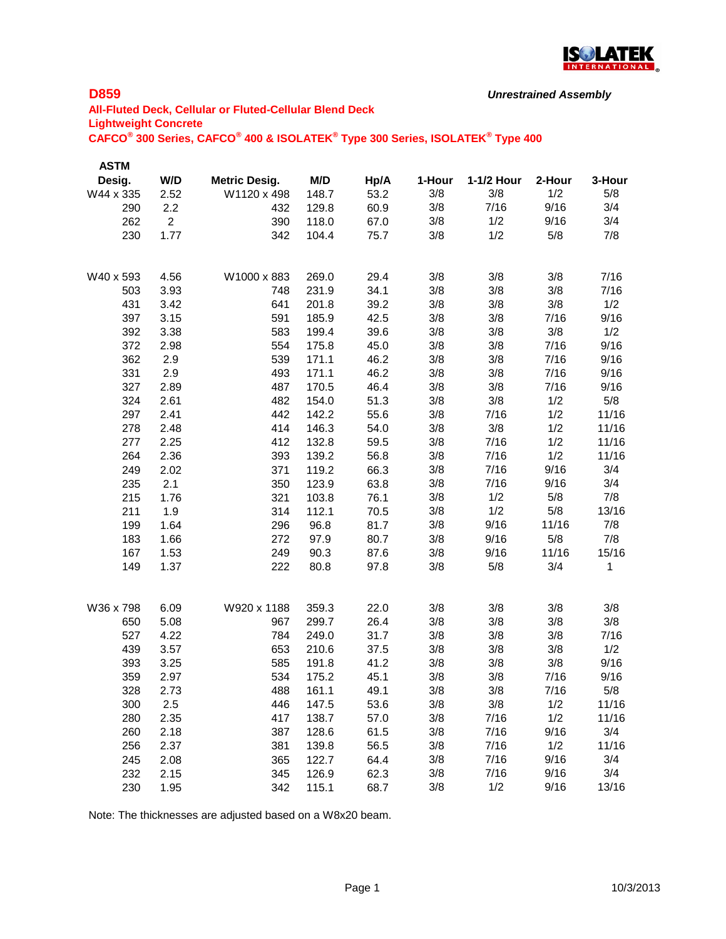

```
Unrestrained Assembly
```
# **All-Fluted Deck, Cellular or Fluted-Cellular Blend Deck Lightweight Concrete CAFCO® 300 Series, CAFCO® 400 & ISOLATEK® Type 300 Series, ISOLATEK® Type 400**

| <b>ASTM</b> |                |                      |       |      |        |            |        |        |
|-------------|----------------|----------------------|-------|------|--------|------------|--------|--------|
| Desig.      | W/D            | <b>Metric Desig.</b> | M/D   | Hp/A | 1-Hour | 1-1/2 Hour | 2-Hour | 3-Hour |
| W44 x 335   | 2.52           | W1120 x 498          | 148.7 | 53.2 | 3/8    | 3/8        | 1/2    | 5/8    |
| 290         | 2.2            | 432                  | 129.8 | 60.9 | 3/8    | 7/16       | 9/16   | 3/4    |
| 262         | $\overline{2}$ | 390                  | 118.0 | 67.0 | 3/8    | 1/2        | 9/16   | 3/4    |
| 230         | 1.77           | 342                  | 104.4 | 75.7 | 3/8    | 1/2        | 5/8    | 7/8    |
|             |                |                      |       |      |        |            |        |        |
| W40 x 593   | 4.56           | W1000 x 883          | 269.0 | 29.4 | 3/8    | 3/8        | 3/8    | 7/16   |
| 503         | 3.93           | 748                  | 231.9 | 34.1 | 3/8    | 3/8        | 3/8    | 7/16   |
| 431         | 3.42           | 641                  | 201.8 | 39.2 | 3/8    | 3/8        | 3/8    | 1/2    |
| 397         | 3.15           | 591                  | 185.9 | 42.5 | 3/8    | 3/8        | 7/16   | 9/16   |
| 392         | 3.38           | 583                  | 199.4 | 39.6 | 3/8    | 3/8        | 3/8    | 1/2    |
| 372         | 2.98           | 554                  | 175.8 | 45.0 | 3/8    | 3/8        | 7/16   | 9/16   |
| 362         | 2.9            | 539                  | 171.1 | 46.2 | 3/8    | 3/8        | 7/16   | 9/16   |
| 331         | 2.9            | 493                  | 171.1 | 46.2 | 3/8    | 3/8        | 7/16   | 9/16   |
| 327         | 2.89           | 487                  | 170.5 | 46.4 | 3/8    | 3/8        | 7/16   | 9/16   |
| 324         | 2.61           | 482                  | 154.0 | 51.3 | 3/8    | 3/8        | 1/2    | 5/8    |
| 297         | 2.41           | 442                  | 142.2 | 55.6 | 3/8    | 7/16       | 1/2    | 11/16  |
| 278         | 2.48           | 414                  | 146.3 | 54.0 | 3/8    | 3/8        | 1/2    | 11/16  |
| 277         | 2.25           | 412                  | 132.8 | 59.5 | 3/8    | 7/16       | 1/2    | 11/16  |
| 264         | 2.36           | 393                  | 139.2 | 56.8 | 3/8    | 7/16       | 1/2    | 11/16  |
| 249         | 2.02           | 371                  | 119.2 | 66.3 | 3/8    | 7/16       | 9/16   | 3/4    |
| 235         | 2.1            | 350                  | 123.9 | 63.8 | 3/8    | 7/16       | 9/16   | 3/4    |
| 215         | 1.76           | 321                  | 103.8 | 76.1 | 3/8    | 1/2        | 5/8    | 7/8    |
| 211         | 1.9            | 314                  | 112.1 | 70.5 | 3/8    | 1/2        | 5/8    | 13/16  |
| 199         | 1.64           | 296                  | 96.8  | 81.7 | 3/8    | 9/16       | 11/16  | 7/8    |
| 183         | 1.66           | 272                  | 97.9  | 80.7 | 3/8    | 9/16       | 5/8    | 7/8    |
| 167         | 1.53           | 249                  | 90.3  | 87.6 | 3/8    | 9/16       | 11/16  | 15/16  |
| 149         | 1.37           | 222                  | 80.8  | 97.8 | 3/8    | 5/8        | 3/4    | 1      |
|             |                |                      |       |      |        |            |        |        |
| W36 x 798   | 6.09           | W920 x 1188          | 359.3 | 22.0 | 3/8    | 3/8        | 3/8    | 3/8    |
| 650         | 5.08           | 967                  | 299.7 | 26.4 | 3/8    | 3/8        | 3/8    | 3/8    |
| 527         | 4.22           | 784                  | 249.0 | 31.7 | 3/8    | 3/8        | 3/8    | 7/16   |
| 439         | 3.57           | 653                  | 210.6 | 37.5 | 3/8    | 3/8        | 3/8    | 1/2    |
| 393         | 3.25           | 585                  | 191.8 | 41.2 | 3/8    | 3/8        | 3/8    | 9/16   |
| 359         | 2.97           | 534                  | 175.2 | 45.1 | 3/8    | 3/8        | 7/16   | 9/16   |
| 328         | 2.73           | 488                  | 161.1 | 49.1 | 3/8    | 3/8        | 7/16   | 5/8    |
| 300         | 2.5            | 446                  | 147.5 | 53.6 | 3/8    | 3/8        | 1/2    | 11/16  |
| 280         | 2.35           | 417                  | 138.7 | 57.0 | 3/8    | 7/16       | 1/2    | 11/16  |
| 260         | 2.18           | 387                  | 128.6 | 61.5 | 3/8    | 7/16       | 9/16   | 3/4    |
| 256         | 2.37           | 381                  | 139.8 | 56.5 | 3/8    | 7/16       | 1/2    | 11/16  |
| 245         | 2.08           | 365                  | 122.7 | 64.4 | 3/8    | 7/16       | 9/16   | 3/4    |
| 232         | 2.15           | 345                  | 126.9 | 62.3 | 3/8    | 7/16       | 9/16   | 3/4    |
| 230         | 1.95           | 342                  | 115.1 | 68.7 | 3/8    | 1/2        | 9/16   | 13/16  |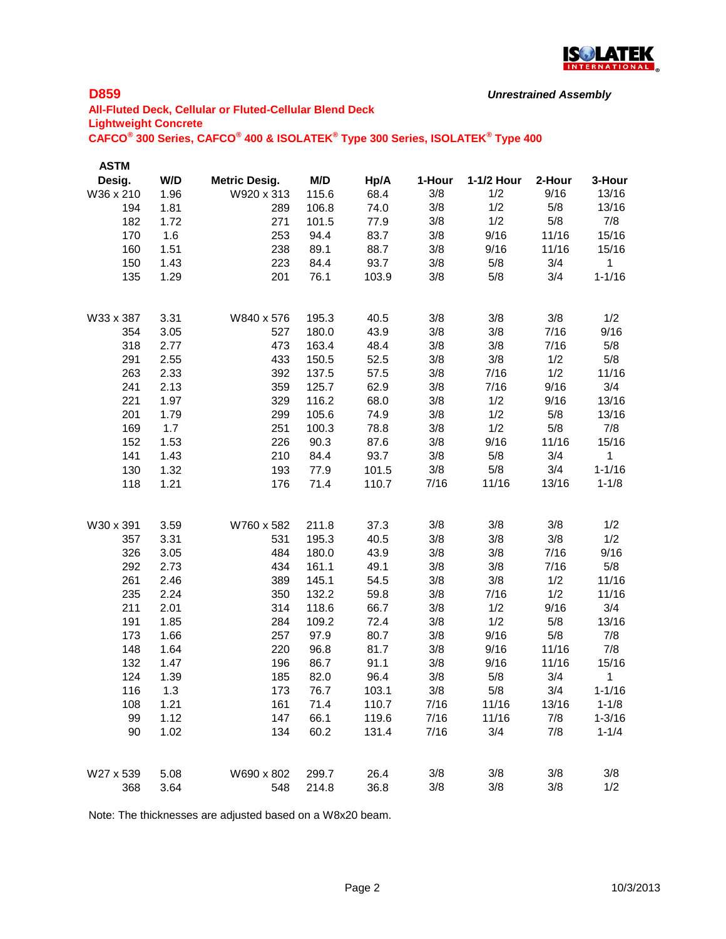

```
Unrestrained Assembly
```
# **All-Fluted Deck, Cellular or Fluted-Cellular Blend Deck Lightweight Concrete CAFCO® 300 Series, CAFCO® 400 & ISOLATEK® Type 300 Series, ISOLATEK® Type 400**

| <b>ASTM</b> |      |                      |       |       |        |            |        |              |
|-------------|------|----------------------|-------|-------|--------|------------|--------|--------------|
| Desig.      | W/D  | <b>Metric Desig.</b> | M/D   | Hp/A  | 1-Hour | 1-1/2 Hour | 2-Hour | 3-Hour       |
| W36 x 210   | 1.96 | W920 x 313           | 115.6 | 68.4  | 3/8    | 1/2        | 9/16   | 13/16        |
| 194         | 1.81 | 289                  | 106.8 | 74.0  | 3/8    | 1/2        | 5/8    | 13/16        |
| 182         | 1.72 | 271                  | 101.5 | 77.9  | 3/8    | 1/2        | 5/8    | 7/8          |
| 170         | 1.6  | 253                  | 94.4  | 83.7  | 3/8    | 9/16       | 11/16  | 15/16        |
| 160         | 1.51 | 238                  | 89.1  | 88.7  | 3/8    | 9/16       | 11/16  | 15/16        |
| 150         | 1.43 | 223                  | 84.4  | 93.7  | 3/8    | 5/8        | 3/4    | $\mathbf{1}$ |
| 135         | 1.29 | 201                  | 76.1  | 103.9 | 3/8    | 5/8        | 3/4    | $1 - 1/16$   |
| W33 x 387   | 3.31 | W840 x 576           | 195.3 | 40.5  | 3/8    | 3/8        | 3/8    | 1/2          |
| 354         | 3.05 | 527                  | 180.0 | 43.9  | 3/8    | 3/8        | 7/16   | 9/16         |
| 318         | 2.77 | 473                  | 163.4 | 48.4  | 3/8    | 3/8        | 7/16   | 5/8          |
| 291         | 2.55 | 433                  | 150.5 | 52.5  | 3/8    | 3/8        | 1/2    | 5/8          |
| 263         | 2.33 | 392                  | 137.5 | 57.5  | 3/8    | 7/16       | 1/2    | 11/16        |
| 241         | 2.13 | 359                  | 125.7 | 62.9  | 3/8    | 7/16       | 9/16   | 3/4          |
| 221         | 1.97 | 329                  | 116.2 | 68.0  | 3/8    | 1/2        | 9/16   | 13/16        |
| 201         | 1.79 | 299                  | 105.6 | 74.9  | 3/8    | 1/2        | 5/8    | 13/16        |
| 169         | 1.7  | 251                  | 100.3 | 78.8  | 3/8    | 1/2        | 5/8    | 7/8          |
| 152         | 1.53 | 226                  | 90.3  | 87.6  | 3/8    | 9/16       | 11/16  | 15/16        |
| 141         | 1.43 | 210                  | 84.4  | 93.7  | 3/8    | 5/8        | 3/4    | 1            |
| 130         | 1.32 | 193                  | 77.9  | 101.5 | 3/8    | 5/8        | 3/4    | $1 - 1/16$   |
| 118         | 1.21 | 176                  | 71.4  | 110.7 | 7/16   | 11/16      | 13/16  | $1 - 1/8$    |
| W30 x 391   | 3.59 | W760 x 582           | 211.8 | 37.3  | 3/8    | 3/8        | 3/8    | 1/2          |
| 357         | 3.31 | 531                  | 195.3 | 40.5  | 3/8    | 3/8        | 3/8    | 1/2          |
| 326         | 3.05 | 484                  | 180.0 | 43.9  | 3/8    | 3/8        | 7/16   | 9/16         |
| 292         | 2.73 | 434                  | 161.1 | 49.1  | 3/8    | 3/8        | 7/16   | 5/8          |
| 261         | 2.46 | 389                  | 145.1 | 54.5  | 3/8    | 3/8        | 1/2    | 11/16        |
| 235         | 2.24 | 350                  | 132.2 | 59.8  | 3/8    | 7/16       | 1/2    | 11/16        |
| 211         | 2.01 | 314                  | 118.6 | 66.7  | 3/8    | 1/2        | 9/16   | 3/4          |
| 191         | 1.85 | 284                  | 109.2 | 72.4  | 3/8    | 1/2        | 5/8    | 13/16        |
| 173         | 1.66 | 257                  | 97.9  | 80.7  | 3/8    | 9/16       | 5/8    | 7/8          |
| 148         | 1.64 | 220                  | 96.8  | 81.7  | 3/8    | 9/16       | 11/16  | 7/8          |
| 132         | 1.47 | 196                  | 86.7  | 91.1  | 3/8    | 9/16       | 11/16  | 15/16        |
| 124         | 1.39 | 185                  | 82.0  | 96.4  | 3/8    | 5/8        | 3/4    | $\mathbf 1$  |
| 116         | 1.3  | 173                  | 76.7  | 103.1 | 3/8    | 5/8        | 3/4    | $1 - 1/16$   |
| 108         | 1.21 | 161                  | 71.4  | 110.7 | 7/16   | 11/16      | 13/16  | $1 - 1/8$    |
| 99          | 1.12 | 147                  | 66.1  | 119.6 | 7/16   | 11/16      | 7/8    | $1 - 3/16$   |
| 90          | 1.02 | 134                  | 60.2  | 131.4 | 7/16   | 3/4        | 7/8    | $1 - 1/4$    |
| W27 x 539   | 5.08 | W690 x 802           | 299.7 | 26.4  | 3/8    | 3/8        | 3/8    | 3/8          |
| 368         | 3.64 | 548                  | 214.8 | 36.8  | 3/8    | 3/8        | 3/8    | 1/2          |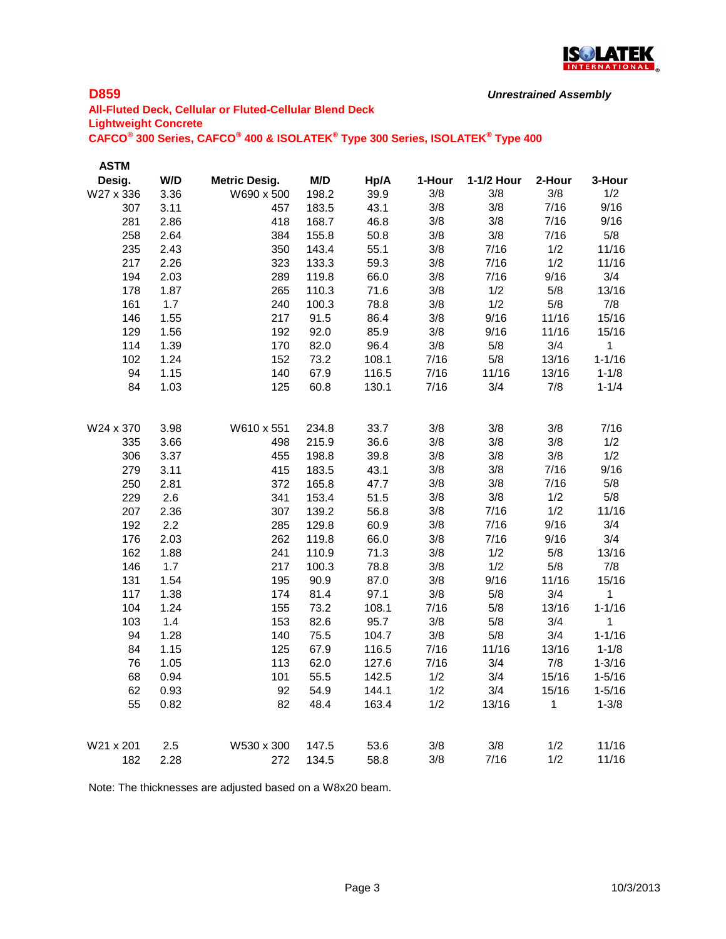

```
Unrestrained Assembly
```
# **All-Fluted Deck, Cellular or Fluted-Cellular Blend Deck Lightweight Concrete CAFCO® 300 Series, CAFCO® 400 & ISOLATEK® Type 300 Series, ISOLATEK® Type 400**

| <b>ASTM</b> |      |                      |       |       |        |            |        |            |
|-------------|------|----------------------|-------|-------|--------|------------|--------|------------|
| Desig.      | W/D  | <b>Metric Desig.</b> | M/D   | Hp/A  | 1-Hour | 1-1/2 Hour | 2-Hour | 3-Hour     |
| W27 x 336   | 3.36 | W690 x 500           | 198.2 | 39.9  | 3/8    | 3/8        | 3/8    | 1/2        |
| 307         | 3.11 | 457                  | 183.5 | 43.1  | 3/8    | 3/8        | 7/16   | 9/16       |
| 281         | 2.86 | 418                  | 168.7 | 46.8  | 3/8    | 3/8        | 7/16   | 9/16       |
| 258         | 2.64 | 384                  | 155.8 | 50.8  | 3/8    | 3/8        | 7/16   | 5/8        |
| 235         | 2.43 | 350                  | 143.4 | 55.1  | 3/8    | 7/16       | 1/2    | 11/16      |
| 217         | 2.26 | 323                  | 133.3 | 59.3  | 3/8    | 7/16       | 1/2    | 11/16      |
| 194         | 2.03 | 289                  | 119.8 | 66.0  | 3/8    | 7/16       | 9/16   | 3/4        |
| 178         | 1.87 | 265                  | 110.3 | 71.6  | 3/8    | 1/2        | 5/8    | 13/16      |
| 161         | 1.7  | 240                  | 100.3 | 78.8  | 3/8    | 1/2        | 5/8    | 7/8        |
| 146         | 1.55 | 217                  | 91.5  | 86.4  | 3/8    | 9/16       | 11/16  | 15/16      |
| 129         | 1.56 | 192                  | 92.0  | 85.9  | 3/8    | 9/16       | 11/16  | 15/16      |
| 114         | 1.39 | 170                  | 82.0  | 96.4  | 3/8    | 5/8        | 3/4    | 1          |
| 102         | 1.24 | 152                  | 73.2  | 108.1 | 7/16   | 5/8        | 13/16  | $1 - 1/16$ |
| 94          | 1.15 | 140                  | 67.9  | 116.5 | 7/16   | 11/16      | 13/16  | $1 - 1/8$  |
| 84          | 1.03 | 125                  | 60.8  | 130.1 | 7/16   | 3/4        | 7/8    | $1 - 1/4$  |
| W24 x 370   | 3.98 | W610 x 551           | 234.8 | 33.7  | 3/8    | 3/8        | 3/8    | 7/16       |
| 335         | 3.66 | 498                  | 215.9 | 36.6  | 3/8    | 3/8        | 3/8    | 1/2        |
| 306         | 3.37 | 455                  | 198.8 | 39.8  | 3/8    | 3/8        | 3/8    | 1/2        |
| 279         | 3.11 | 415                  | 183.5 | 43.1  | 3/8    | 3/8        | 7/16   | 9/16       |
| 250         | 2.81 | 372                  | 165.8 | 47.7  | 3/8    | 3/8        | 7/16   | 5/8        |
| 229         | 2.6  | 341                  | 153.4 | 51.5  | 3/8    | 3/8        | 1/2    | 5/8        |
| 207         | 2.36 | 307                  | 139.2 | 56.8  | 3/8    | 7/16       | 1/2    | 11/16      |
| 192         | 2.2  | 285                  | 129.8 | 60.9  | 3/8    | 7/16       | 9/16   | 3/4        |
| 176         | 2.03 | 262                  | 119.8 | 66.0  | 3/8    | 7/16       | 9/16   | 3/4        |
| 162         | 1.88 | 241                  | 110.9 | 71.3  | 3/8    | 1/2        | 5/8    | 13/16      |
| 146         | 1.7  | 217                  | 100.3 | 78.8  | 3/8    | 1/2        | 5/8    | 7/8        |
| 131         | 1.54 | 195                  | 90.9  | 87.0  | 3/8    | 9/16       | 11/16  | 15/16      |
| 117         | 1.38 | 174                  | 81.4  | 97.1  | 3/8    | 5/8        | 3/4    | 1          |
| 104         | 1.24 | 155                  | 73.2  | 108.1 | 7/16   | 5/8        | 13/16  | $1 - 1/16$ |
| 103         | 1.4  | 153                  | 82.6  | 95.7  | 3/8    | 5/8        | 3/4    | 1          |
| 94          | 1.28 | 140                  | 75.5  | 104.7 | 3/8    | 5/8        | 3/4    | $1 - 1/16$ |
| 84          | 1.15 | 125                  | 67.9  | 116.5 | 7/16   | 11/16      | 13/16  | $1 - 1/8$  |
| 76          | 1.05 | 113                  | 62.0  | 127.6 | 7/16   | 3/4        | 7/8    | $1 - 3/16$ |
| 68          | 0.94 | 101                  | 55.5  | 142.5 | 1/2    | 3/4        | 15/16  | $1 - 5/16$ |
| 62          | 0.93 | 92                   | 54.9  | 144.1 | 1/2    | 3/4        | 15/16  | $1 - 5/16$ |
| 55          | 0.82 | 82                   | 48.4  | 163.4 | 1/2    | 13/16      | 1      | $1 - 3/8$  |
| W21 x 201   | 2.5  | W530 x 300           | 147.5 | 53.6  | 3/8    | 3/8        | 1/2    | 11/16      |
| 182         | 2.28 | 272                  | 134.5 | 58.8  | 3/8    | 7/16       | 1/2    | 11/16      |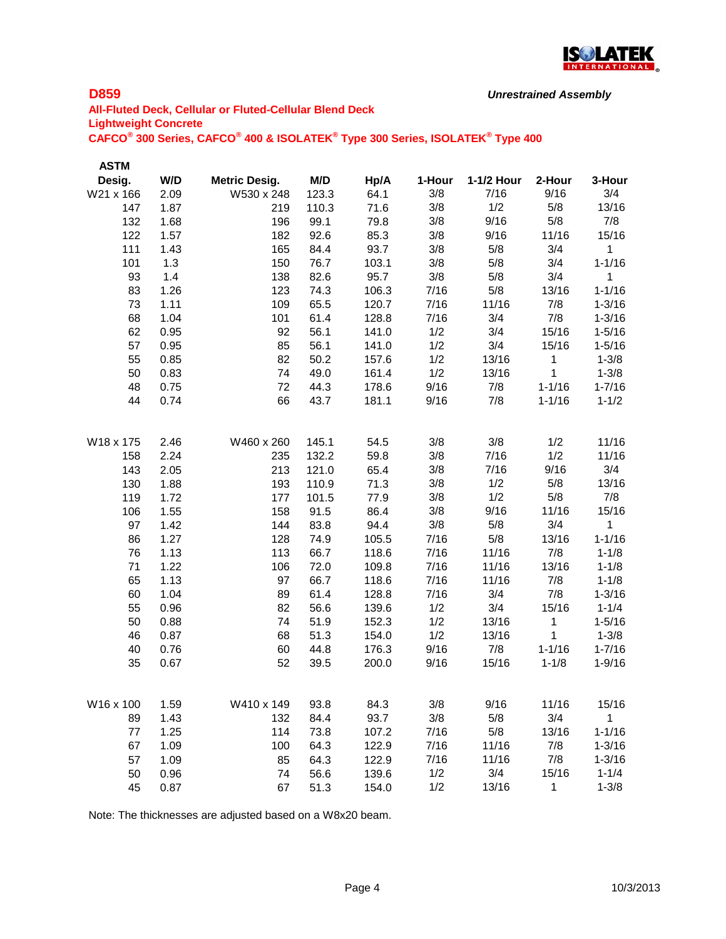

```
Unrestrained Assembly
```
# **All-Fluted Deck, Cellular or Fluted-Cellular Blend Deck Lightweight Concrete CAFCO® 300 Series, CAFCO® 400 & ISOLATEK® Type 300 Series, ISOLATEK® Type 400**

| <b>ASTM</b> |      |                      |       |       |        |            |              |                      |
|-------------|------|----------------------|-------|-------|--------|------------|--------------|----------------------|
| Desig.      | W/D  | <b>Metric Desig.</b> | M/D   | Hp/A  | 1-Hour | 1-1/2 Hour | 2-Hour       | 3-Hour               |
| W21 x 166   | 2.09 | W530 x 248           | 123.3 | 64.1  | 3/8    | 7/16       | 9/16         | 3/4                  |
| 147         | 1.87 | 219                  | 110.3 | 71.6  | 3/8    | 1/2        | 5/8          | 13/16                |
| 132         | 1.68 | 196                  | 99.1  | 79.8  | 3/8    | 9/16       | 5/8          | 7/8                  |
| 122         | 1.57 | 182                  | 92.6  | 85.3  | 3/8    | 9/16       | 11/16        | 15/16                |
| 111         | 1.43 | 165                  | 84.4  | 93.7  | 3/8    | 5/8        | 3/4          | $\mathbf 1$          |
| 101         | 1.3  | 150                  | 76.7  | 103.1 | 3/8    | 5/8        | 3/4          | $1 - 1/16$           |
| 93          | 1.4  | 138                  | 82.6  | 95.7  | 3/8    | 5/8        | 3/4          | 1                    |
| 83          | 1.26 | 123                  | 74.3  | 106.3 | 7/16   | 5/8        | 13/16        | $1 - 1/16$           |
| 73          | 1.11 | 109                  | 65.5  | 120.7 | 7/16   | 11/16      | 7/8          | $1 - 3/16$           |
| 68          | 1.04 | 101                  | 61.4  | 128.8 | 7/16   | 3/4        | 7/8          | $1 - 3/16$           |
| 62          | 0.95 | 92                   | 56.1  | 141.0 | 1/2    | 3/4        | 15/16        | $1 - 5/16$           |
| 57          | 0.95 | 85                   | 56.1  | 141.0 | 1/2    | 3/4        | 15/16        | $1 - 5/16$           |
| 55          | 0.85 | 82                   | 50.2  | 157.6 | 1/2    | 13/16      | $\mathbf{1}$ | $1 - 3/8$            |
| 50          | 0.83 | 74                   | 49.0  | 161.4 | 1/2    | 13/16      | 1            | $1 - 3/8$            |
| 48          | 0.75 | 72                   | 44.3  | 178.6 | 9/16   | 7/8        | $1 - 1/16$   | $1 - 7/16$           |
| 44          | 0.74 | 66                   | 43.7  | 181.1 | 9/16   | 7/8        | $1 - 1/16$   | $1 - 1/2$            |
| W18 x 175   | 2.46 | W460 x 260           | 145.1 | 54.5  | 3/8    | 3/8        | 1/2          | 11/16                |
| 158         | 2.24 | 235                  | 132.2 | 59.8  | 3/8    | 7/16       | 1/2          | 11/16                |
| 143         | 2.05 | 213                  | 121.0 | 65.4  | 3/8    | 7/16       | 9/16         | 3/4                  |
| 130         | 1.88 | 193                  | 110.9 | 71.3  | 3/8    | 1/2        | 5/8          | 13/16                |
| 119         | 1.72 | 177                  | 101.5 | 77.9  | 3/8    | 1/2        | 5/8          | 7/8                  |
| 106         | 1.55 | 158                  | 91.5  | 86.4  | 3/8    | 9/16       | 11/16        | 15/16                |
| 97          | 1.42 | 144                  | 83.8  | 94.4  | 3/8    | 5/8        | 3/4          | 1                    |
| 86          | 1.27 | 128                  | 74.9  | 105.5 | 7/16   | 5/8        | 13/16        | $1 - 1/16$           |
| 76          | 1.13 | 113                  | 66.7  | 118.6 | 7/16   | 11/16      | 7/8          | $1 - 1/8$            |
| 71          | 1.22 | 106                  | 72.0  | 109.8 | 7/16   | 11/16      | 13/16        | $1 - 1/8$            |
| 65          | 1.13 | 97                   | 66.7  | 118.6 | 7/16   | 11/16      | 7/8          | $1 - 1/8$            |
| 60          | 1.04 | 89                   | 61.4  | 128.8 | 7/16   | 3/4        | 7/8          | $1 - 3/16$           |
| 55          | 0.96 | 82                   | 56.6  | 139.6 | 1/2    | 3/4        | 15/16        | $1 - 1/4$            |
| 50          | 0.88 | 74                   | 51.9  | 152.3 | 1/2    | 13/16      | 1            | $1 - 5/16$           |
| 46          | 0.87 | 68                   | 51.3  | 154.0 | 1/2    | 13/16      | 1            | $1 - 3/8$            |
| 40          | 0.76 | 60                   | 44.8  | 176.3 | 9/16   | 7/8        | $1 - 1/16$   | $1 - 7/16$           |
| 35          | 0.67 | 52                   | 39.5  | 200.0 | 9/16   | 15/16      | $1 - 1/8$    | $1 - 9/16$           |
| W16 x 100   | 1.59 | W410 x 149           | 93.8  |       | 3/8    | 9/16       |              |                      |
|             | 1.43 |                      |       | 84.3  | 3/8    | 5/8        | 11/16<br>3/4 | 15/16<br>$\mathbf 1$ |
| 89          |      | 132                  | 84.4  | 93.7  |        | 5/8        |              |                      |
| 77          | 1.25 | 114                  | 73.8  | 107.2 | 7/16   |            | 13/16        | $1 - 1/16$           |
| 67          | 1.09 | 100                  | 64.3  | 122.9 | 7/16   | 11/16      | 7/8          | $1 - 3/16$           |
| 57          | 1.09 | 85                   | 64.3  | 122.9 | 7/16   | 11/16      | 7/8          | $1 - 3/16$           |
| 50          | 0.96 | 74                   | 56.6  | 139.6 | 1/2    | 3/4        | 15/16        | $1 - 1/4$            |
| 45          | 0.87 | 67                   | 51.3  | 154.0 | 1/2    | 13/16      | 1            | $1 - 3/8$            |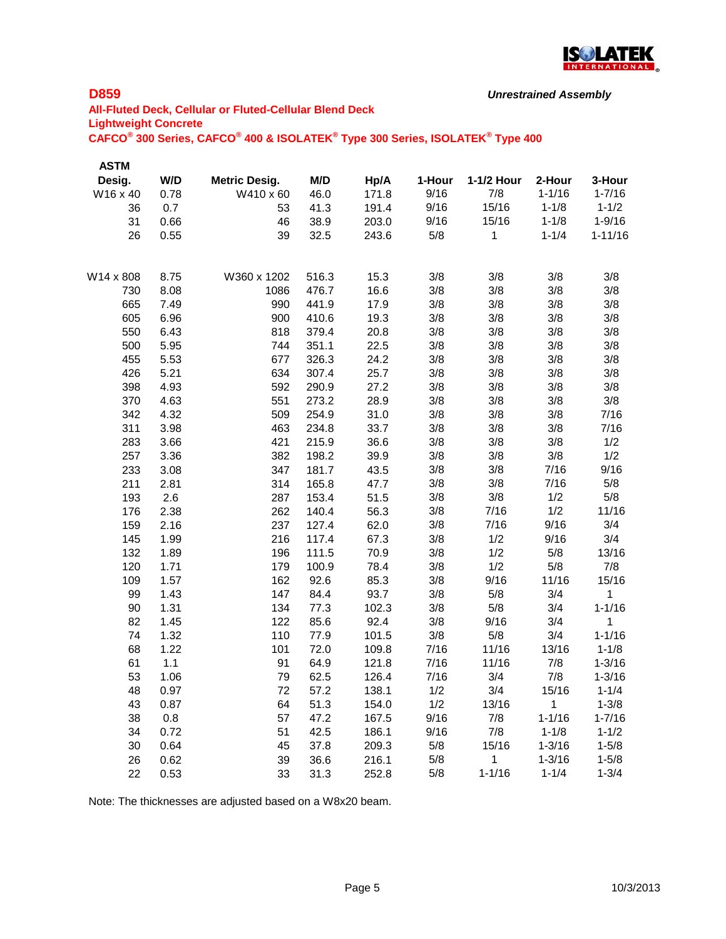

```
Unrestrained Assembly
```
# **All-Fluted Deck, Cellular or Fluted-Cellular Blend Deck Lightweight Concrete CAFCO® 300 Series, CAFCO® 400 & ISOLATEK® Type 300 Series, ISOLATEK® Type 400**

| <b>ASTM</b> |      |                      |       |       |        |            |            |             |
|-------------|------|----------------------|-------|-------|--------|------------|------------|-------------|
| Desig.      | W/D  | <b>Metric Desig.</b> | M/D   | Hp/A  | 1-Hour | 1-1/2 Hour | 2-Hour     | 3-Hour      |
| W16 x 40    | 0.78 | W410 x 60            | 46.0  | 171.8 | 9/16   | 7/8        | $1 - 1/16$ | $1 - 7/16$  |
| 36          | 0.7  | 53                   | 41.3  | 191.4 | 9/16   | 15/16      | $1 - 1/8$  | $1 - 1/2$   |
| 31          | 0.66 | 46                   | 38.9  | 203.0 | 9/16   | 15/16      | $1 - 1/8$  | $1 - 9/16$  |
| 26          | 0.55 | 39                   | 32.5  | 243.6 | 5/8    | 1          | $1 - 1/4$  | $1 - 11/16$ |
| W14 x 808   | 8.75 | W360 x 1202          | 516.3 | 15.3  | 3/8    | 3/8        | 3/8        | 3/8         |
| 730         | 8.08 | 1086                 | 476.7 | 16.6  | 3/8    | 3/8        | 3/8        | 3/8         |
| 665         | 7.49 | 990                  | 441.9 | 17.9  | 3/8    | 3/8        | 3/8        | 3/8         |
| 605         | 6.96 | 900                  | 410.6 | 19.3  | 3/8    | 3/8        | 3/8        | 3/8         |
| 550         | 6.43 | 818                  | 379.4 | 20.8  | 3/8    | 3/8        | 3/8        | 3/8         |
| 500         | 5.95 | 744                  | 351.1 | 22.5  | 3/8    | 3/8        | 3/8        | 3/8         |
| 455         | 5.53 | 677                  | 326.3 | 24.2  | 3/8    | 3/8        | 3/8        | 3/8         |
| 426         | 5.21 | 634                  | 307.4 | 25.7  | 3/8    | 3/8        | 3/8        | 3/8         |
| 398         | 4.93 | 592                  | 290.9 | 27.2  | 3/8    | 3/8        | 3/8        | 3/8         |
| 370         | 4.63 | 551                  | 273.2 | 28.9  | 3/8    | 3/8        | 3/8        | 3/8         |
| 342         | 4.32 | 509                  | 254.9 | 31.0  | 3/8    | 3/8        | 3/8        | 7/16        |
| 311         | 3.98 | 463                  | 234.8 | 33.7  | 3/8    | 3/8        | 3/8        | 7/16        |
| 283         | 3.66 | 421                  | 215.9 | 36.6  | 3/8    | 3/8        | 3/8        | 1/2         |
| 257         | 3.36 | 382                  | 198.2 | 39.9  | 3/8    | 3/8        | 3/8        | 1/2         |
| 233         | 3.08 | 347                  | 181.7 | 43.5  | 3/8    | 3/8        | 7/16       | 9/16        |
| 211         | 2.81 | 314                  | 165.8 | 47.7  | 3/8    | 3/8        | 7/16       | 5/8         |
| 193         | 2.6  | 287                  | 153.4 | 51.5  | 3/8    | 3/8        | 1/2        | 5/8         |
| 176         | 2.38 | 262                  | 140.4 | 56.3  | 3/8    | 7/16       | 1/2        | 11/16       |
| 159         | 2.16 | 237                  | 127.4 | 62.0  | 3/8    | 7/16       | 9/16       | 3/4         |
| 145         | 1.99 | 216                  | 117.4 | 67.3  | 3/8    | 1/2        | 9/16       | 3/4         |
| 132         | 1.89 | 196                  | 111.5 | 70.9  | 3/8    | 1/2        | 5/8        | 13/16       |
| 120         | 1.71 | 179                  | 100.9 | 78.4  | 3/8    | 1/2        | 5/8        | 7/8         |
| 109         | 1.57 | 162                  | 92.6  | 85.3  | 3/8    | 9/16       | 11/16      | 15/16       |
| 99          | 1.43 | 147                  | 84.4  | 93.7  | 3/8    | 5/8        | 3/4        | 1           |
| 90          | 1.31 | 134                  | 77.3  | 102.3 | 3/8    | 5/8        | 3/4        | $1 - 1/16$  |
| 82          | 1.45 | 122                  | 85.6  | 92.4  | 3/8    | 9/16       | 3/4        | 1           |
| 74          | 1.32 | 110                  | 77.9  | 101.5 | 3/8    | 5/8        | 3/4        | $1 - 1/16$  |
| 68          | 1.22 | 101                  | 72.0  | 109.8 | 7/16   | 11/16      | 13/16      | $1 - 1/8$   |
| 61          | 1.1  | 91                   | 64.9  | 121.8 | 7/16   | 11/16      | 7/8        | $1 - 3/16$  |
| 53          | 1.06 | 79                   | 62.5  | 126.4 | 7/16   | 3/4        | 7/8        | $1 - 3/16$  |
| 48          | 0.97 | 72                   | 57.2  | 138.1 | 1/2    | 3/4        | 15/16      | $1 - 1/4$   |
| 43          | 0.87 | 64                   | 51.3  | 154.0 | 1/2    | 13/16      | 1          | $1 - 3/8$   |
| 38          | 0.8  | 57                   | 47.2  | 167.5 | 9/16   | 7/8        | $1 - 1/16$ | $1 - 7/16$  |
| 34          | 0.72 | 51                   | 42.5  | 186.1 | 9/16   | 7/8        | $1 - 1/8$  | $1 - 1/2$   |
| 30          | 0.64 | 45                   | 37.8  | 209.3 | 5/8    | 15/16      | $1 - 3/16$ | $1 - 5/8$   |
| 26          | 0.62 | 39                   | 36.6  | 216.1 | 5/8    | 1          | $1 - 3/16$ | $1 - 5/8$   |
| 22          | 0.53 | 33                   | 31.3  | 252.8 | 5/8    | $1 - 1/16$ | $1 - 1/4$  | $1 - 3/4$   |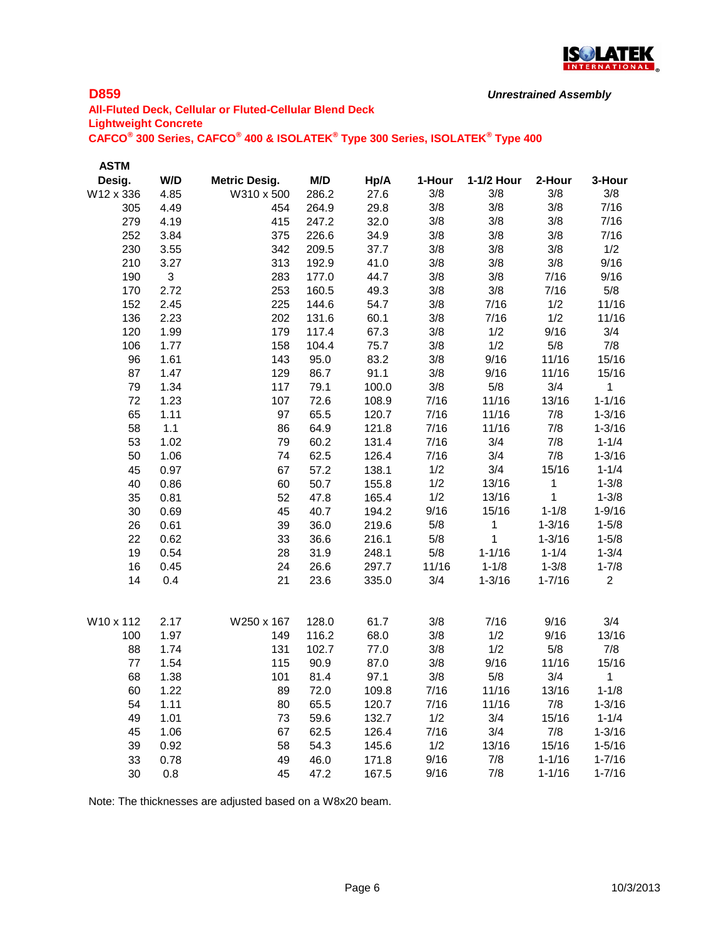

```
Unrestrained Assembly
```
# **All-Fluted Deck, Cellular or Fluted-Cellular Blend Deck Lightweight Concrete CAFCO® 300 Series, CAFCO® 400 & ISOLATEK® Type 300 Series, ISOLATEK® Type 400**

| <b>ASTM</b> |                |                      |       |       |        |            |            |                |
|-------------|----------------|----------------------|-------|-------|--------|------------|------------|----------------|
| Desig.      | W/D            | <b>Metric Desig.</b> | M/D   | Hp/A  | 1-Hour | 1-1/2 Hour | 2-Hour     | 3-Hour         |
| W12 x 336   | 4.85           | W310 x 500           | 286.2 | 27.6  | 3/8    | 3/8        | 3/8        | 3/8            |
| 305         | 4.49           | 454                  | 264.9 | 29.8  | 3/8    | 3/8        | 3/8        | 7/16           |
| 279         | 4.19           | 415                  | 247.2 | 32.0  | 3/8    | 3/8        | 3/8        | 7/16           |
| 252         | 3.84           | 375                  | 226.6 | 34.9  | 3/8    | 3/8        | 3/8        | 7/16           |
| 230         | 3.55           | 342                  | 209.5 | 37.7  | 3/8    | 3/8        | 3/8        | 1/2            |
| 210         | 3.27           | 313                  | 192.9 | 41.0  | 3/8    | 3/8        | 3/8        | 9/16           |
| 190         | $\mathfrak{S}$ | 283                  | 177.0 | 44.7  | 3/8    | 3/8        | 7/16       | 9/16           |
| 170         | 2.72           | 253                  | 160.5 | 49.3  | 3/8    | 3/8        | 7/16       | 5/8            |
| 152         | 2.45           | 225                  | 144.6 | 54.7  | 3/8    | 7/16       | 1/2        | 11/16          |
| 136         | 2.23           | 202                  | 131.6 | 60.1  | 3/8    | 7/16       | 1/2        | 11/16          |
| 120         | 1.99           | 179                  | 117.4 | 67.3  | 3/8    | 1/2        | 9/16       | 3/4            |
| 106         | 1.77           | 158                  | 104.4 | 75.7  | 3/8    | 1/2        | 5/8        | 7/8            |
| 96          | 1.61           | 143                  | 95.0  | 83.2  | 3/8    | 9/16       | 11/16      | 15/16          |
| 87          | 1.47           | 129                  | 86.7  | 91.1  | 3/8    | 9/16       | 11/16      | 15/16          |
| 79          | 1.34           | 117                  | 79.1  | 100.0 | 3/8    | 5/8        | 3/4        | 1              |
| 72          | 1.23           | 107                  | 72.6  | 108.9 | 7/16   | 11/16      | 13/16      | $1 - 1/16$     |
| 65          | 1.11           | 97                   | 65.5  | 120.7 | 7/16   | 11/16      | 7/8        | $1 - 3/16$     |
| 58          | 1.1            | 86                   | 64.9  | 121.8 | 7/16   | 11/16      | 7/8        | $1 - 3/16$     |
| 53          | 1.02           | 79                   | 60.2  | 131.4 | 7/16   | 3/4        | 7/8        | $1 - 1/4$      |
| 50          | 1.06           | 74                   | 62.5  | 126.4 | 7/16   | 3/4        | 7/8        | $1 - 3/16$     |
| 45          | 0.97           | 67                   | 57.2  | 138.1 | 1/2    | 3/4        | 15/16      | $1 - 1/4$      |
| 40          | 0.86           | 60                   | 50.7  | 155.8 | 1/2    | 13/16      | 1          | $1 - 3/8$      |
| 35          | 0.81           | 52                   | 47.8  | 165.4 | 1/2    | 13/16      | 1          | $1 - 3/8$      |
| 30          | 0.69           | 45                   | 40.7  | 194.2 | 9/16   | 15/16      | $1 - 1/8$  | $1 - 9/16$     |
| 26          | 0.61           | 39                   | 36.0  | 219.6 | 5/8    | 1          | $1 - 3/16$ | $1 - 5/8$      |
| 22          | 0.62           | 33                   | 36.6  | 216.1 | 5/8    | 1          | $1 - 3/16$ | $1 - 5/8$      |
| 19          | 0.54           | 28                   | 31.9  | 248.1 | 5/8    | $1 - 1/16$ | $1 - 1/4$  | $1 - 3/4$      |
| 16          | 0.45           | 24                   | 26.6  | 297.7 | 11/16  | $1 - 1/8$  | $1 - 3/8$  | $1 - 7/8$      |
| 14          | 0.4            | 21                   | 23.6  | 335.0 | 3/4    | $1 - 3/16$ | $1 - 7/16$ | $\overline{2}$ |
| W10 x 112   | 2.17           | W250 x 167           | 128.0 | 61.7  | 3/8    | 7/16       | 9/16       | 3/4            |
| 100         | 1.97           | 149                  | 116.2 | 68.0  | 3/8    | 1/2        | 9/16       | 13/16          |
| 88          | 1.74           | 131                  | 102.7 | 77.0  | 3/8    | 1/2        | 5/8        | 7/8            |
| 77          | 1.54           | 115                  | 90.9  | 87.0  | 3/8    | 9/16       | 11/16      | 15/16          |
| 68          | 1.38           | 101                  | 81.4  | 97.1  | 3/8    | 5/8        | 3/4        | 1              |
| 60          | 1.22           | 89                   | 72.0  | 109.8 | 7/16   | 11/16      | 13/16      | $1 - 1/8$      |
| 54          | 1.11           | 80                   | 65.5  | 120.7 | 7/16   | 11/16      | 7/8        | $1 - 3/16$     |
| 49          | 1.01           | 73                   | 59.6  | 132.7 | 1/2    | 3/4        | 15/16      | $1 - 1/4$      |
| 45          | 1.06           | 67                   | 62.5  | 126.4 | 7/16   | 3/4        | 7/8        | $1 - 3/16$     |
| 39          | 0.92           | 58                   | 54.3  | 145.6 | 1/2    | 13/16      | 15/16      | $1 - 5/16$     |
| 33          | 0.78           | 49                   | 46.0  | 171.8 | 9/16   | 7/8        | $1 - 1/16$ | $1 - 7/16$     |
| 30          | 0.8            | 45                   | 47.2  | 167.5 | 9/16   | 7/8        | $1 - 1/16$ | $1 - 7/16$     |